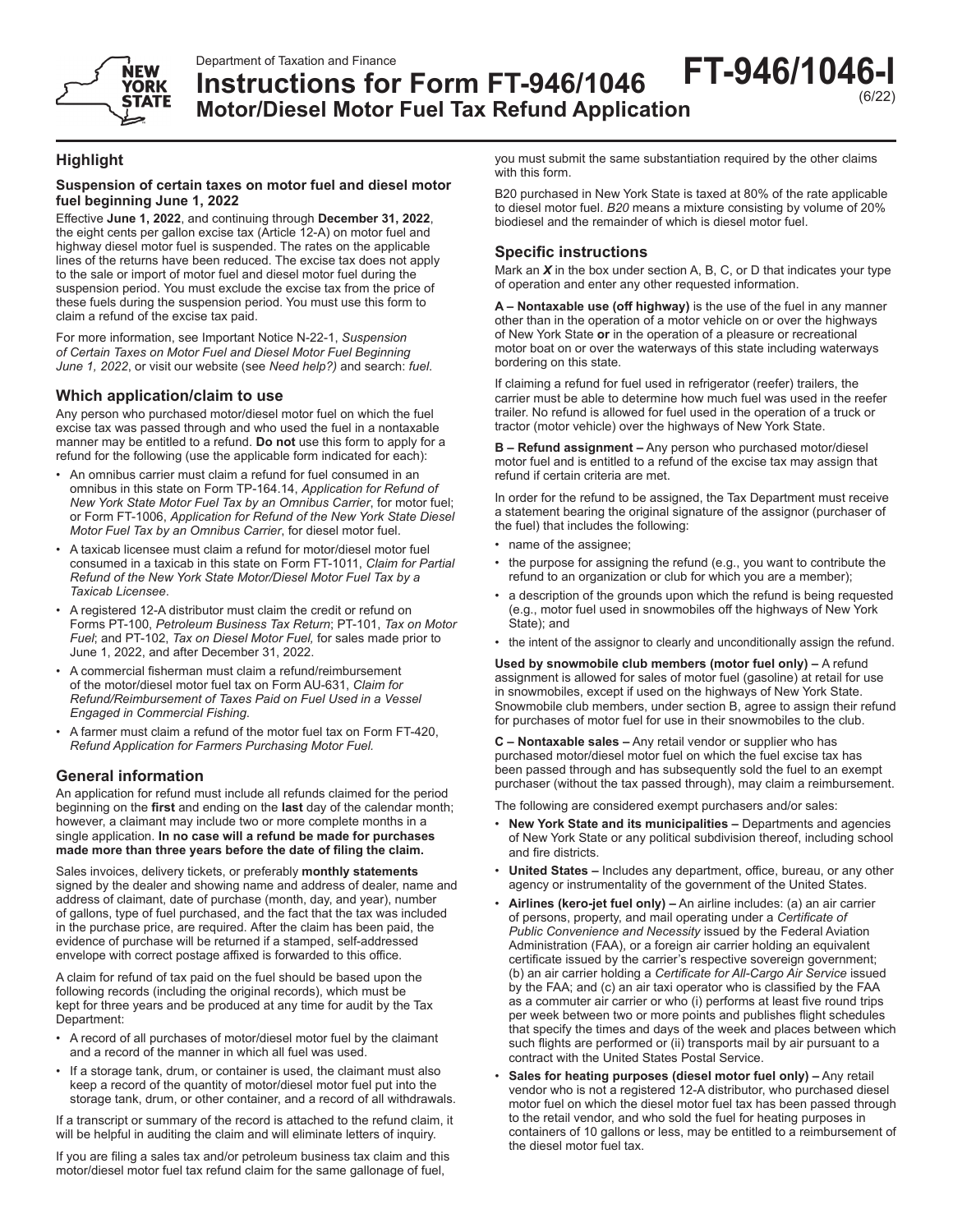



# **Instructions for Form FT-946/1046 Motor/Diesel Motor Fuel Tax Refund Application FT-946/1046-I**

# **Highlight**

### **Suspension of certain taxes on motor fuel and diesel motor fuel beginning June 1, 2022**

Effective **June 1, 2022**, and continuing through **December 31, 2022**, the eight cents per gallon excise tax (Article 12-A) on motor fuel and highway diesel motor fuel is suspended. The rates on the applicable lines of the returns have been reduced. The excise tax does not apply to the sale or import of motor fuel and diesel motor fuel during the suspension period. You must exclude the excise tax from the price of these fuels during the suspension period. You must use this form to claim a refund of the excise tax paid.

For more information, see Important Notice N-22-1, *Suspension of Certain Taxes on Motor Fuel and Diesel Motor Fuel Beginning June 1, 2022*, or visit our website (see *Need help?)* and search: *fuel*.

# **Which application/claim to use**

Any person who purchased motor/diesel motor fuel on which the fuel excise tax was passed through and who used the fuel in a nontaxable manner may be entitled to a refund. **Do not** use this form to apply for a refund for the following (use the applicable form indicated for each):

- An omnibus carrier must claim a refund for fuel consumed in an omnibus in this state on Form TP-164.14, *Application for Refund of New York State Motor Fuel Tax by an Omnibus Carrier*, for motor fuel; or Form FT-1006, *Application for Refund of the New York State Diesel Motor Fuel Tax by an Omnibus Carrier*, for diesel motor fuel.
- A taxicab licensee must claim a refund for motor/diesel motor fuel consumed in a taxicab in this state on Form FT-1011, *Claim for Partial Refund of the New York State Motor/Diesel Motor Fuel Tax by a Taxicab Licensee*.
- A registered 12-A distributor must claim the credit or refund on Forms PT-100, *Petroleum Business Tax Return*; PT-101, *Tax on Motor Fuel*; and PT-102, *Tax on Diesel Motor Fuel,* for sales made prior to June 1, 2022, and after December 31, 2022.
- A commercial fisherman must claim a refund/reimbursement of the motor/diesel motor fuel tax on Form AU-631, *Claim for Refund/Reimbursement of Taxes Paid on Fuel Used in a Vessel Engaged in Commercial Fishing*.
- A farmer must claim a refund of the motor fuel tax on Form FT-420, *Refund Application for Farmers Purchasing Motor Fuel.*

## **General information**

An application for refund must include all refunds claimed for the period beginning on the **first** and ending on the **last** day of the calendar month; however, a claimant may include two or more complete months in a single application. **In no case will a refund be made for purchases made more than three years before the date of filing the claim.**

Sales invoices, delivery tickets, or preferably **monthly statements** signed by the dealer and showing name and address of dealer, name and address of claimant, date of purchase (month, day, and year), number of gallons, type of fuel purchased, and the fact that the tax was included in the purchase price, are required. After the claim has been paid, the evidence of purchase will be returned if a stamped, self-addressed envelope with correct postage affixed is forwarded to this office.

A claim for refund of tax paid on the fuel should be based upon the following records (including the original records), which must be kept for three years and be produced at any time for audit by the Tax Department:

- A record of all purchases of motor/diesel motor fuel by the claimant and a record of the manner in which all fuel was used.
- If a storage tank, drum, or container is used, the claimant must also keep a record of the quantity of motor/diesel motor fuel put into the storage tank, drum, or other container, and a record of all withdrawals.

If a transcript or summary of the record is attached to the refund claim, it will be helpful in auditing the claim and will eliminate letters of inquiry.

If you are filing a sales tax and/or petroleum business tax claim and this motor/diesel motor fuel tax refund claim for the same gallonage of fuel,

you must submit the same substantiation required by the other claims with this form.

B20 purchased in New York State is taxed at 80% of the rate applicable to diesel motor fuel. *B20* means a mixture consisting by volume of 20% biodiesel and the remainder of which is diesel motor fuel.

## **Specific instructions**

Mark an *X* in the box under section A, B, C, or D that indicates your type of operation and enter any other requested information.

**A – Nontaxable use (off highway)** is the use of the fuel in any manner other than in the operation of a motor vehicle on or over the highways of New York State **or** in the operation of a pleasure or recreational motor boat on or over the waterways of this state including waterways bordering on this state.

If claiming a refund for fuel used in refrigerator (reefer) trailers, the carrier must be able to determine how much fuel was used in the reefer trailer. No refund is allowed for fuel used in the operation of a truck or tractor (motor vehicle) over the highways of New York State.

**B – Refund assignment –** Any person who purchased motor/diesel motor fuel and is entitled to a refund of the excise tax may assign that refund if certain criteria are met.

In order for the refund to be assigned, the Tax Department must receive a statement bearing the original signature of the assignor (purchaser of the fuel) that includes the following:

- name of the assignee;
- the purpose for assigning the refund (e.g., you want to contribute the refund to an organization or club for which you are a member);
- a description of the grounds upon which the refund is being requested (e.g., motor fuel used in snowmobiles off the highways of New York State); and
- the intent of the assignor to clearly and unconditionally assign the refund.

**Used by snowmobile club members (motor fuel only) –** A refund assignment is allowed for sales of motor fuel (gasoline) at retail for use in snowmobiles, except if used on the highways of New York State. Snowmobile club members, under section B, agree to assign their refund for purchases of motor fuel for use in their snowmobiles to the club.

**C – Nontaxable sales –** Any retail vendor or supplier who has purchased motor/diesel motor fuel on which the fuel excise tax has been passed through and has subsequently sold the fuel to an exempt purchaser (without the tax passed through), may claim a reimbursement.

The following are considered exempt purchasers and/or sales:

- **New York State and its municipalities –** Departments and agencies of New York State or any political subdivision thereof, including school and fire districts.
- **United States –** Includes any department, office, bureau, or any other agency or instrumentality of the government of the United States.
- **Airlines (kero-jet fuel only) –** An airline includes: (a) an air carrier of persons, property, and mail operating under a *Certificate of Public Convenience and Necessity* issued by the Federal Aviation Administration (FAA), or a foreign air carrier holding an equivalent certificate issued by the carrier's respective sovereign government; (b) an air carrier holding a *Certificate for All‑Cargo Air Service* issued by the FAA; and (c) an air taxi operator who is classified by the FAA as a commuter air carrier or who (i) performs at least five round trips per week between two or more points and publishes flight schedules that specify the times and days of the week and places between which such flights are performed or (ii) transports mail by air pursuant to a contract with the United States Postal Service.
- **Sales for heating purposes (diesel motor fuel only) –** Any retail vendor who is not a registered 12‑A distributor, who purchased diesel motor fuel on which the diesel motor fuel tax has been passed through to the retail vendor, and who sold the fuel for heating purposes in containers of 10 gallons or less, may be entitled to a reimbursement of the diesel motor fuel tax.